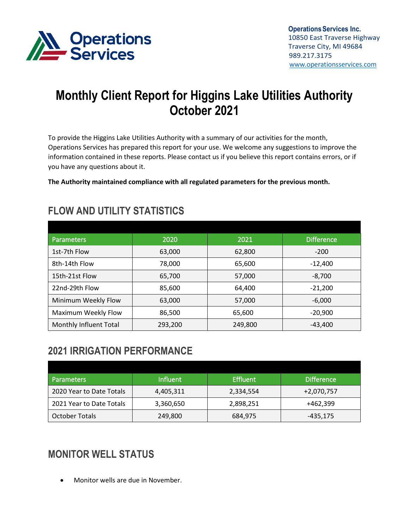

# **Monthly Client Report for Higgins Lake Utilities Authority October 2021**

To provide the Higgins Lake Utilities Authority with a summary of our activities for the month, Operations Services has prepared this report for your use. We welcome any suggestions to improve the information contained in these reports. Please contact us if you believe this report contains errors, or if you have any questions about it.

**The Authority maintained compliance with all regulated parameters for the previous month.**

| <b>Parameters</b>      | 2020    | 2021    | <b>Difference</b> |
|------------------------|---------|---------|-------------------|
| 1st-7th Flow           | 63,000  | 62,800  | $-200$            |
| 8th-14th Flow          | 78,000  | 65,600  | $-12,400$         |
| 15th-21st Flow         | 65,700  | 57,000  | $-8,700$          |
| 22nd-29th Flow         | 85,600  | 64,400  | $-21,200$         |
| Minimum Weekly Flow    | 63,000  | 57,000  | $-6,000$          |
| Maximum Weekly Flow    | 86,500  | 65,600  | $-20,900$         |
| Monthly Influent Total | 293,200 | 249,800 | $-43,400$         |

#### **FLOW AND UTILITY STATISTICS**

# **2021 IRRIGATION PERFORMANCE**

| <b>Parameters</b>        | <b>Influent</b> | <b>Effluent</b> | <b>Difference</b> |
|--------------------------|-----------------|-----------------|-------------------|
| 2020 Year to Date Totals | 4,405,311       | 2,334,554       | +2,070,757        |
| 2021 Year to Date Totals | 3,360,650       | 2,898,251       | +462,399          |
| <b>October Totals</b>    | 249,800         | 684,975         | -435,175          |

# **MONITOR WELL STATUS**

• Monitor wells are due in November.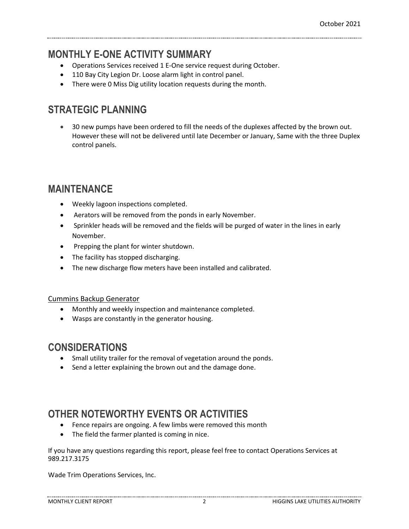#### **MONTHLY E-ONE ACTIVITY SUMMARY**

- Operations Services received 1 E-One service request during October.
- 110 Bay City Legion Dr. Loose alarm light in control panel.
- There were 0 Miss Dig utility location requests during the month.

# **STRATEGIC PLANNING**

• 30 new pumps have been ordered to fill the needs of the duplexes affected by the brown out. However these will not be delivered until late December or January, Same with the three Duplex control panels.

# **MAINTENANCE**

- Weekly lagoon inspections completed.
- Aerators will be removed from the ponds in early November.
- Sprinkler heads will be removed and the fields will be purged of water in the lines in early November.
- Prepping the plant for winter shutdown.
- The facility has stopped discharging.
- The new discharge flow meters have been installed and calibrated.

#### Cummins Backup Generator

- Monthly and weekly inspection and maintenance completed.
- Wasps are constantly in the generator housing.

# **CONSIDERATIONS**

- Small utility trailer for the removal of vegetation around the ponds.
- Send a letter explaining the brown out and the damage done.

# **OTHER NOTEWORTHY EVENTS OR ACTIVITIES**

- Fence repairs are ongoing. A few limbs were removed this month
- The field the farmer planted is coming in nice.

If you have any questions regarding this report, please feel free to contact Operations Services at 989.217.3175

Wade Trim Operations Services, Inc.